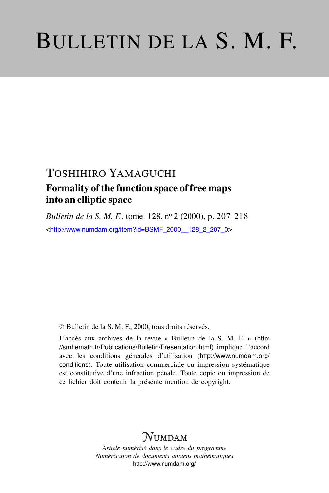# BULLETIN DE LA S. M. F.

## TOSHIHIRO YAMAGUCHI

## Formality of the function space of free maps into an elliptic space

*Bulletin de la S. M. F.*, tome 128, nº 2 (2000), p. 207-218

<[http://www.numdam.org/item?id=BSMF\\_2000\\_\\_128\\_2\\_207\\_0](http://www.numdam.org/item?id=BSMF_2000__128_2_207_0)>

© Bulletin de la S. M. F., 2000, tous droits réservés.

L'accès aux archives de la revue « Bulletin de la S. M. F. » ([http:](http://smf.emath.fr/Publications/Bulletin/Presentation.html) [//smf.emath.fr/Publications/Bulletin/Presentation.html](http://smf.emath.fr/Publications/Bulletin/Presentation.html)) implique l'accord avec les conditions générales d'utilisation ([http://www.numdam.org/](http://www.numdam.org/conditions) [conditions](http://www.numdam.org/conditions)). Toute utilisation commerciale ou impression systématique est constitutive d'une infraction pénale. Toute copie ou impression de ce fichier doit contenir la présente mention de copyright.

# **NUMDAM**

*Article numérisé dans le cadre du programme Numérisation de documents anciens mathématiques* <http://www.numdam.org/>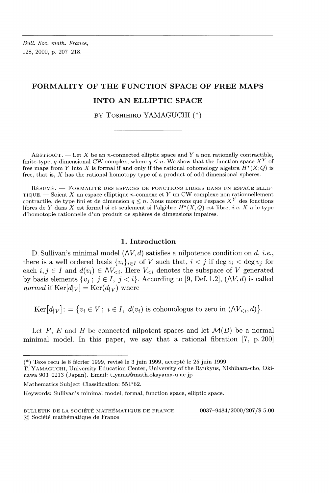*Bull. Soc. math. France,* 128, 2000, p. 207-218.

### **FORMALITY OF THE FUNCTION SPACE OF FREE MAPS INTO AN ELLIPTIC SPACE**

BY TOSHIHIRO YAMAGUCHI (\*)

ABSTRACT. — Let X be an *n*-connected elliptic space and Y a non rationally contractible, finite-type, q-dimensional CW complex, where  $q \leq n$ . We show that the function space  $X^Y$  of free maps from Y into X is formal if and only if the rational cohomology algebra  $H^*(X;Q)$  is free, that is, *X* has the rational homotopy type of a product of odd dimensional spheres.

RÉSUMÉ. — FORMALITÉ DES ESPACES DE FONCTIONS LIBRES DANS UN ESPACE ELLIP-TIQUE. — Soient *X* un espace elliptique n-connexe et *Y* un CW complexe non rationnellement contractile, de type fini et de dimension  $q \leq n$ . Nous montrons que l'espace  $X<sup>Y</sup>$  des fonctions libres de Y dans X est formel si et seulement si l'algèbre  $H^*(X, Q)$  est libre, *i.e.* X a le type d'homotopie rationnelle d'un produit de spheres de dimensions impaires.

#### **1. Introduction**

D. Sullivan's minimal model (AY, *d)* satisfies a nilpotence condition on d, *i.e.,* there is a well ordered basis  $\{v_i\}_{i \in I}$  of *V* such that,  $i < j$  if deg  $v_i <$  deg  $v_j$  for each  $i, j \in I$  and  $d(v_i) \in \Lambda V_{\leq i}$ . Here  $V_{\leq i}$  denotes the subspace of V generated by basis elements  $\{v_j; j \in I, j < i\}$ . According to [9, Def. 1.2],  $(\Lambda V, d)$  is called *normal* if  $\text{Ker}[d|_V] = \text{Ker}(d|_V)$  where

 $\text{Ker}\left[d_{|V}\right]$ : = { $v_i \in V$ ;  $i \in I$ ,  $d(v_i)$  is cohomologus to zero in  $(\Lambda V_{\leq i}, d)$  }.

Let F, E and B be connected nilpotent spaces and let  $\mathcal{M}(B)$  be a normal minimal model. In this paper, we say that a rational fibration [7, p. 200]

 $(*)$  Texe recu le 8 fécrier 1999, revisé le 3 juin 1999, accepté le 25 juin 1999.

T. YAMAGUCHI, University Education Center, University of the Ryukyus, Nishihara-cho, Okinawa 903—0213 (Japan). Email: t-yama@math.okayama-u.ac.jp.

Mathematics Subject Classification: 55P62.

Keywords: Sullivan's minimal model, formal, function space, elliptic space.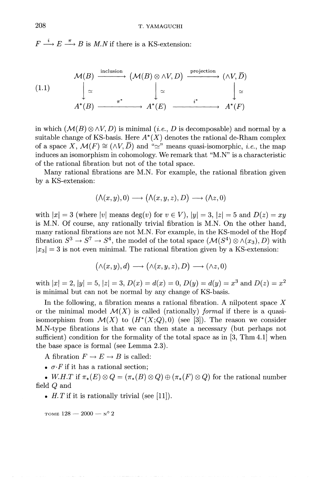$F \stackrel{i}{\longrightarrow} E \stackrel{\pi}{\longrightarrow} B$  is *M.N* if there is a KS-extension:

(1.1)  
\n
$$
\begin{array}{ccc}\n\mathcal{M}(B) & \xrightarrow{\text{inclusion}} & (\mathcal{M}(B) \otimes \wedge V, D) & \xrightarrow{\text{projection}} & (\wedge V, \overline{D}) \\
\downarrow \simeq & & \downarrow \simeq & & \downarrow \simeq \\
A^*(B) & \xrightarrow{\pi^*} & A^*(E) & \xrightarrow{\qquad i^*} & A^*(F)\n\end{array}
$$

in which  $(M(B) \otimes \wedge V, D)$  is minimal (*i.e.*, *D* is decomposable) and normal by a suitable change of KS-basis. Here  $A^*(X)$  denotes the rational de-Rham complex of a space X,  $\mathcal{M}(F) \cong (\wedge V, \overline{D})$  and " $\simeq$ " means quasi-isomorphic, *i.e.*, the map induces an isomorphism in cohomology. We remark that "M.N" is a characteristic of the rational fibration but not of the total space.

Many rational fibrations are M.N. For example, the rational fibration given by a KS-extension:

$$
(\mathcal{N}(x,y),0)\longrightarrow (\mathcal{N}(x,y,z),D)\longrightarrow (\mathcal{N}z,0)
$$

with  $|x| = 3$  (where  $|v|$  means deg(v) for  $v \in V$ ),  $|y| = 3$ ,  $|z| = 5$  and  $D(z) = xy$ is M.N. Of course, any rationally trivial fibration is M.N. On the other hand, many rational fibrations are not M.N. For example, in the KS-model of the Hopf fibration  $S^3 \to S^7 \to S^4$ , the model of the total space  $(\mathcal{M}(S^4) \otimes \wedge (x_3), D)$  with  $|x_3| = 3$  is not even minimal. The rational fibration given by a KS-extension:

$$
(\wedge(x,y),d)\longrightarrow(\wedge(x,y,z),D)\longrightarrow(\wedge z,0)
$$

with  $|x| = 2$ ,  $|y| = 5$ ,  $|z| = 3$ ,  $D(x) = d(x) = 0$ ,  $D(y) = d(y) = x^3$  and  $D(z) = x^2$ is minimal but can not be normal by any change of KS-basis.

In the following, a fibration means a rational fibration. A nilpotent space *X* or the minimal model  $\mathcal{M}(X)$  is called (rationally) *formal* if there is a quasiisomorphism from  $\mathcal{M}(X)$  to  $(H^*(X;Q),0)$  (see [3]). The reason we consider M.N-type fibrations is that we can then state a necessary (but perhaps not sufficient) condition for the formality of the total space as in  $[3, Thm4.1]$  when the base space is formal (see Lemma 2.3).

A fibration  $F \to E \to B$  is called:

•  $\sigma$ *·F* if it has a rational section;

• *W.H.T* if  $\pi_*(E) \otimes Q = (\pi_*(B) \otimes Q) \oplus (\pi_*(F) \otimes Q)$  for the rational number field *Q* and

• *H.T* if it is rationally trivial (see [11]).

TOME  $128 - 2000 - y^{\circ}2$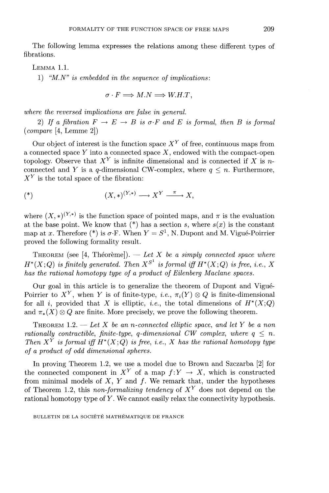The following lemma expresses the relations among these different types of fibrations.

LEMMA 1.1.

1) *"M.N" is embedded in the sequence of implications:*

$$
\sigma \cdot F \Longrightarrow M.N \Longrightarrow W.H.T,
$$

*where the reversed implications are false in general.*

2) If a fibration  $F \to E \to B$  is  $\sigma \cdot F$  and E is formal, then B is formal *(compare* [4, Lemme 2])

Our object of interest is the function space  $X<sup>Y</sup>$  of free, continuous maps from a connected space *Y* into a connected space *X,* endowed with the compact-open topology. Observe that  $X<sup>Y</sup>$  is infinite dimensional and is connected if X is n connected and *Y* is a  $q$ -dimensional CW-complex, where  $q \leq n$ . Furthermore,  $X^Y$  is the total space of the fibration

$$
(*)\qquad \qquad (X,*)^{(Y,*)}\longrightarrow X^{Y}\xrightarrow{\pi} X,
$$

where  $(X, *)^{(Y, *)}$  is the function space of pointed maps, and  $\pi$  is the evaluation at the base point. We know that  $(*)$  has a section *s*, where  $s(x)$  is the constant map at x. Therefore (\*) is  $\sigma$ -F. When  $Y = S^1$ , N. Dupont and M. Vigué-Poirrier proved the following formality result.

THEOREM (see [4, Théorème]). — Let X be a simply connected space where  $H^*(X;Q)$  *is finitely generated. Then*  $X^{S^1}$  *is formal iff*  $H^*(X;Q)$  *is free, i.e., X has the rational homotopy type of a product of Eilenberg Maclane spaces.*

Our goal in this article is to generalize the theorem of Dupont and Vigue-Poirrier to  $X<sup>Y</sup>$ , when *Y* is of finite-type, *i.e.*,  $\pi_i(Y) \otimes Q$  is finite-dimensional for all *i*, provided that X is elliptic, *i.e.*, the total dimensions of  $H^*(X;Q)$ and  $\pi_*(X) \otimes Q$  are finite. More precisely, we prove the following theorem.

THEOREM 1.2. — *Let X be an n-connected elliptic space, and let Y be a non rationally contractible, finite-type, q-dimensional CW complex, where*  $q \leq n$ *. Then*  $X^Y$  *is formal iff*  $H^*(X;Q)$  *is free, i.e.,* X has the rational homotopy type *of a product of odd dimensional spheres.*

In proving Theorem 1.2, we use a model due to Brown and Szczarba [2] for the connected component in  $X^Y$  of a map  $f:Y \to X$ , which is constructed from minimal models of  $X, Y$  and  $f$ . We remark that, under the hypotheses of Theorem 1.2, this *non-formalizing tendency* of *X<sup>Y</sup>* does not depend on the rational homotopy type of *Y.* We cannot easily relax the connectivity hypothesis.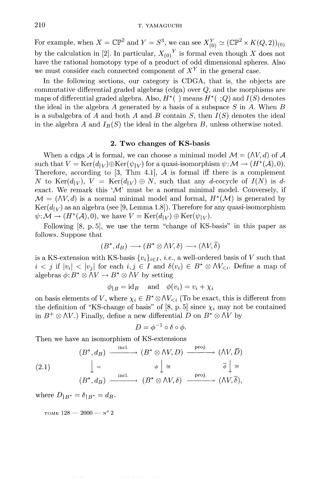For example, when  $X = \mathbb{CP}^2$  and  $Y = S^3$ , we can see  $X^Y_{(0)} \simeq (\mathbb{CP}^2 \times K(Q, 2))_{(0)}$ by the calculation in [2]. In particular,  $X_{(0)}^Y$  is formal even though X does no have the rational homotopy type of a product of odd dimensional spheres. Also we must consider each connected component of *X<sup>Y</sup>* in the general case.

In the following sections, our category is CDGA, that is, the objects are commutative differential graded algebras (cdga) over Q, and the morphisms are maps of differential graded algebra. Also,  $H^*$  ( $\cdot$ ) means  $H^*$  ( $\cdot$ ; Q) and  $I(S)$  denotes the ideal in the algebra A generated by a basis of a subspace *S* in *A.* When *B* is a subalgebra of A and both A and B contain S, then  $I(S)$  denotes the ideal in the algebra A and  $I_B(S)$  the ideal in the algebra B, unless otherwise noted.

#### **2. Two changes of KS-basis**

When a cdga A is formal, we can choose a minimal model  $\mathcal{M} = (\Lambda V, d)$  of A such that  $V = \text{Ker}(d_{1V}) \oplus \text{Ker}(\psi_{1V})$  for a quasi-isomorphism  $\psi: \mathcal{M} \to (H^*(\mathcal{A}), 0)$ . Therefore, according to  $[3, Thm 4.1]$ , A is formal iff there is a complement *N* to Ker( $d_{|V}$ ),  $V = \text{Ker}(d_{|V}) \oplus N$ , such that any *d*-cocycle of  $I(N)$  is *d*exact. We remark this  $\mathcal{M}'$  must be a normal minimal model. Conversely, if  $\mathcal{M} = (\Lambda V, d)$  is a normal minimal model and formal,  $H^*(\mathcal{M})$  is generated by  $Ker(d<sub>|V</sub>)$  as an algebra (see [9, Lemma 1.8]). Therefore for any quasi-isomorphism  $\psi: \mathcal{M} \to (H^*(\mathcal{A}), 0)$ , we have  $V = \text{Ker}(d|_V) \oplus \text{Ker}(\psi|_V)$ .

Following [8, p.5], we use the term "change of KS-basis" in this paper as follows. Suppose that

$$
(B^*, d_B) \longrightarrow (B^* \otimes \Lambda V, \delta) \longrightarrow (\Lambda V, \overline{\delta})
$$

is a KS-extension with KS-basis  $\{v_i\}_{i \in I}$ , *i.e.*, a well-ordered basis of *V* such that  $i < j$  if  $|v_i| < |v_j|$  for each  $i, j \in I$  and  $\delta(v_i) \in B^* \otimes \Lambda V_{\leq i}$ . Define a map of algebras  $\phi: B^* \otimes \Lambda V \to B^* \otimes \Lambda V$  by setting

$$
\phi_{|B} = id_B
$$
 and  $\phi(v_i) = v_i + \chi_i$ 

on basis elements of V, where  $\chi_i \in B^* \otimes \Lambda V_{\leq i}$  (To be exact, this is different from the definition of "KS-change of basis" of  $[8, p.5]$  since  $\chi_i$  may not be contained in  $B^+\otimes \Lambda V$ .) Finally, define a new differential D on  $B^*\otimes \Lambda V$  by

$$
D = \phi^{-1} \circ \delta \circ \phi.
$$

Then we have an isomorphism of KS-extensions

$$
(B^*, d_B) \xrightarrow{\text{incl.}} (B^* \otimes \wedge V, D) \xrightarrow{\text{proj.}} (\wedge V, \overline{D})
$$
  

$$
\downarrow = \qquad \qquad \phi \downarrow \cong \qquad \qquad \overline{\phi} \downarrow \cong
$$
  

$$
(B^*, d_B) \xrightarrow{\text{incl.}} (B^* \otimes \wedge V, \delta) \xrightarrow{\text{proj.}} (\wedge V, \overline{\delta}),
$$

where  $D_{|B^*} = \delta_{|B^*} = d_B$ .

TOME  $128 - 2000 - N^{\circ} 2$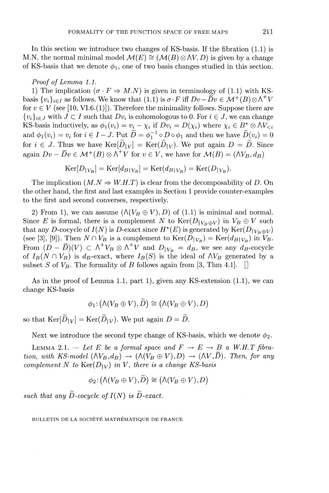In this section we introduce two changes of KS-basis. If the fibration  $(1.1)$  is In this section we introduce two changes of KS-basis. It the fibration (1.1) is M.N, the normal minimal model  $\mathcal{M}(E) \cong (\mathcal{M}(B) \otimes \Lambda V, D)$  is given by a change of KS-basis that we denote  $\phi_1$ , one of two basis changes

#### *Proof of Lemma 1.1.*

1) The implication  $(\sigma \cdot F \Rightarrow M.N)$  is given in terminology of (1.1) with KS-<br>basis  $\{v_i\}_{i \in I}$  as follows. We know that (1.1) is  $\sigma \cdot F$  iff  $Dv - \overline{D}v \in \mathcal{M}^+(B) \otimes \Lambda^+V$ basis  $\{v_i\}_{i \in I}$  as follows. We know that (1.1) is  $\sigma \cdot F$  iff  $Dv - \overline{D}v \in \mathcal{M}^+(B) \otimes \Lambda^+ V$  for  $v \in V$  (see [10, VI.6.(1)]). Therefore the minimality follows. Suppose there are  ${v_i}_{i \in J}$  with  $J \subset I$  such that  $Dv_i$  is cohomologous to 0. For  $i \in J$ , we can change  $\{v_i\}_{i \in J}$  with  $J \subset I$  such that  $Dv_i$  is cohomologous to 0. For  $i \in J$ , we can chang KS-basis inductively, as  $\phi_1(v_i) = v_i - \chi_i$  if  $Dv_i = D(\chi_i)$  where  $\chi_i \in B^* \otimes \Lambda V_{\leq i}$ KS-basis inductively, as  $\phi_1(v_i) = v_i - \chi_i$  i<br>and  $\phi_1(v_i) = v_i$  for  $i \in I - J$ . Put  $\widetilde{D} = \phi_1^{-1}$ and  $\phi_1(v_i) = v_i$  for  $i \in I - J$ . Put  $\widetilde{D} = \phi_1^{-1} \circ D \circ \phi_1$  and then we have  $\widetilde{D}(v_i) = 0$ for  $i \in J$ . Thus we have  $\text{Ker}[\widetilde{D}_{|V}] = \text{Ker}(\widetilde{D}_{|V})$ . We put again  $D = \widetilde{D}$ . Since again  $Dv - \overline{D}v \in \mathcal{M}^+(B) \otimes \Lambda^+ V$  for  $v \in V$ , we have for  $\mathcal{M}(B) = (\Lambda V_B, d_B)$ 

$$
Ker[D_{|V_B}] = Ker[d_{B|V_B}] = Ker(d_{B|V_B}) = Ker(D_{|V_B}).
$$

The implication  $(M.N \Rightarrow W.H.T)$  is clear from the decomposability of *D*. On the other hand, the first and last examples in Section 1 provide counter-examples to the first and second converses, respectively.

2) From 1), we can assume  $(\Lambda(V_B \oplus V), D)$  of (1.1) is minimal and normal. Since *E* is formal, there is a complement *N* to  $\text{Ker}(D_{|V_B\oplus V})$  in  $V_B\oplus V$  such that any D-cocycle of  $I(N)$  is D-exact since  $H^*(E)$  is generated by Ker(D<sub>|V<sub>e</sub>  $\alpha$ )</sub> that any D-cocycle of  $I(N)$  is D-exact since  $H^*(E)$  is generated by  $\text{Ker}(D_{|V_B\oplus V})$ <br>(see [3], [9]). Then  $N \cap V_B$  is a complement to  $\text{Ker}(D_{|V_B}) = \text{Ker}(d_{B|V_B})$  in  $V_B$ (see [3], [9]). Then  $N \cap V_B$  is a complement to  $\text{Ker}(D_{|V_B}) = \text{Ker}(d_{B|V_B})$  in  $V_B$ <br>From  $(D - \overline{D})(V) \subset \Lambda^+ V_B \otimes \Lambda^+ V$  and  $D_{|V_B} = d_B$ , we see any  $d_B$ -cocycle of  $I_B(N \cap V_B)$  is  $d_B$ -exact, where  $I_B(S)$  is the ideal of  $\Lambda V_B$  generated by a subset *S* of  $V_B$ . The formality of *B* follows again from [3, Thm 4.1].

As in the proof of Lemma 1.1, part 1), given any KS-extension  $(1.1)$ , we can change KS-basis

$$
\phi_1: (\wedge (V_B \oplus V), \widetilde{D}) \cong (\wedge (V_B \oplus V), D)
$$

so that  $\text{Ker}[\widetilde{D}_{|V}] = \text{Ker}(\widetilde{D}_{|V})$ . We put again  $D = \widetilde{D}$ .

Next we introduce the second type change of KS-basis, which we denote  $\phi_2$ .

LEMMA 2.1. - Let E be a formal space and  $F \to E \to B$  a W.H.T fibra*tion, with KS-model*  $(\Lambda V_B,d_B) \to (\Lambda (V_B \oplus V),D) \to (\Lambda V,\overline{D})$ . Then, for any *complement* N to  $\text{Ker}(D_{|V})$  *in V, there is a change KS-basis* 

$$
\phi_2\colon (\wedge(V_B\oplus V),\widetilde{D})\cong (\wedge(V_B\oplus V),D)
$$

such that any  $\widetilde{D}$ -cocycle of  $I(N)$  is  $\widetilde{D}$ -exact.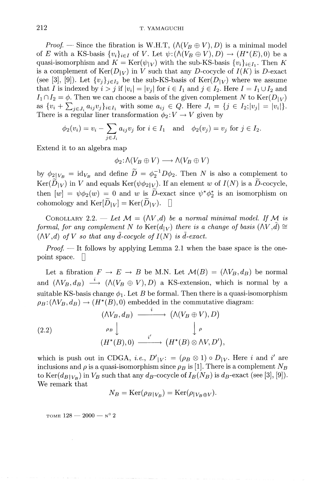*Proof.* — Since the fibration is W.H.T,  $(\wedge (V_B \oplus V), D)$  is a minimal model of E with a KS-basis  $\{v_i\}_{i\in I}$  of V. Let  $\psi:((\Lambda(V_B \oplus V),D) \to (H^*(E),0)$  be a quasi-isomorphism and  $K = \text{Ker}(\psi|_V)$  with the sub-KS-basis  $\{v_i\}_{i \in I_1}$ . Then K is a complement of  $\text{Ker}(D_{|V})$  in *V* such that any *D*-cocycle of  $I(K)$  is *D*-exact (see [3], [9]). Let  $\{v_j\}_{j \in I_2}$  be the sub-KS-basis of  $\text{Ker}(D_{|V})$  where we assume that *I* is indexed by  $i > j$  if  $|v_i| = |v_j|$  for  $i \in I_1$  and  $j \in I_2$ . Here  $I = I_1 \cup I_2$  and  $I_1 \cap I_2 = \phi$ . Then we can choose a basis of the given complement N to Ker( $D_{|V}$ ) as  $\{v_i + \sum_{j \in J_i} a_{ij} v_j\}_{i \in I_1}$  with some  $a_{ij} \in Q$ . Here  $J_i = \{j \in I_2; |v_j| = |v_i|\}.$ 

There is a regular linear transformation 
$$
\phi_2: V \to V
$$
 given by  
\n
$$
\phi_2(v_i) = v_i - \sum_{j \in J_i} a_{ij} v_j \text{ for } i \in I_1 \text{ and } \phi_2(v_j) = v_j \text{ for } j \in I_2.
$$

Extend it to an algebra map

 $\phi_2: \bigwedge(V_B \oplus V) \longrightarrow \bigwedge(V_B \oplus V)$ 

by  $\phi_{2|V_B} = \text{id}_{V_B}$  and define  $\widetilde{D} = \phi_2^{-1}D\phi_2$ . Then N is also a complement to  $\text{Ker}(\widetilde{D}_{|V})$  in V and equals  $\text{Ker}(\psi\phi_{2|V})$ . If an element w of  $I(N)$  is a  $\widetilde{D}$ -cocycle, then  $[w] = \psi \phi_2(w) = 0$  and w is D-exact since  $\psi^* \phi_2^*$  is an isomorphism on cohomology and  $\text{Ker}[\widetilde{D}_{|V}] = \text{Ker}(\widetilde{D}_{|V})$ .

COROLLARY 2.2. — Let  $\mathcal{M} = (\Lambda V, d)$  be a normal minimal model. If  $\mathcal{M}$  is *formal, for any complement N to*  $\text{Ker}(d_{|V})$  *there is a change of basis*  $(\Lambda V, d) \cong$  $(\Lambda V,d)$  of V so that any  $\tilde{d}$ -cocycle of  $I(N)$  is  $\tilde{d}$ -exact.

*Proof.* — It follows by applying Lemma 2.1 when the base space is the onepoint space. *\]*

Let a fibration  $F \to E \to B$  be M.N. Let  $\mathcal{M}(B) = (\Lambda V_B, d_B)$  be normal and  $(\Lambda V_B,d_B) \stackrel{i}{\longrightarrow} (\Lambda (V_B \oplus V),D)$  a KS-extension, which is normal by a suitable KS-basis change  $\phi_1$ . Let *B* be formal. Then there is a quasi-isomorphism  $\rho_B:(\Lambda V_B,d_B)\to (H^*(B),0)$  embedded in the commutative diagram:

(2.2) 
$$
\begin{array}{ccc}\n(\wedge V_B, d_B) & \xrightarrow{i} & (\wedge (V_B \oplus V), D) \\
& \downarrow \rho & & \downarrow \rho \\
& (H^*(B), 0) & \xrightarrow{i'} & (H^*(B) \otimes \wedge V, D'),\n\end{array}
$$

which is push out in CDGA, *i.e.*,  $D'_{|V}$ : =  $(\rho_B \otimes 1) \circ D_{|V}$ . Here *i* and *i'* are inclusions and  $\rho$  is a quasi-isomorphism since  $\rho_B$  is [1]. There is a complement  $N_B$ to Ker( $d_{B|V_B}$ ) in  $V_B$  such that any  $d_B$ -cocycle of  $I_B(N_B)$  is  $d_B$ -exact (see [3], [9]). We remark that

$$
N_B = \text{Ker}(\rho_{B|V_B}) = \text{Ker}(\rho_{|V_B \oplus V}).
$$

TOME  $128 - 2000 -$  N° 2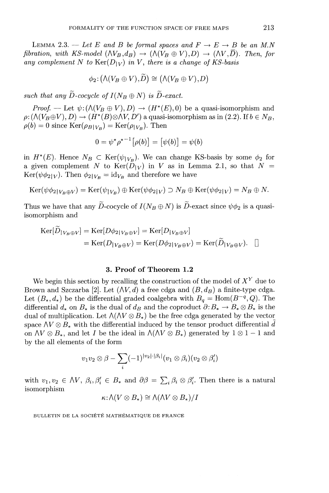LEMMA 2.3. — Let E and B be formal spaces and  $F \to E \to B$  be an M.N *fibration, with KS-model*  $(\Lambda V_B,d_B) \to (\Lambda (V_B \oplus V),D) \to (\Lambda V,\overline{D})$ . Then, for *any complement* N to  $\text{Ker}(D_{|V})$  *in* V, there is a change of KS-basis

$$
\phi_2\colon (\bigwedge(V_B\oplus V),\widetilde{D})\cong \bigl(\bigwedge(V_B\oplus V),D\bigr)
$$

*such that any*  $\widetilde{D}$ -cocycle of  $I(N_B \oplus N)$  is  $\widetilde{D}$ -exact.

*Proof.* — Let  $\psi$ :( $\Lambda$ ( $V_B \oplus V$ ), D)  $\rightarrow$  ( $H^*(E)$ ,0) be a quasi-isomorphism and  $\rho: (\Lambda(V_B\oplus V), D) \to (H^*(B)\otimes \Lambda V, D')$  a quasi-isomorphism as in (2.2). If  $b \in N_B$ ,  $\rho(b) = 0$  since  $\text{Ker}(\rho_{B|V_B}) = \text{Ker}(\rho_{|V_B})$ . Then

$$
0 = \psi^* \rho^{*-1} [\rho(b)] = [\psi(b)] = \psi(b)
$$

in  $H^*(E)$ . Hence  $N_B \subset \text{Ker}(\psi_{|V_B})$ . We can change KS-basis by some  $\phi_2$  for a given complement N to  $\text{Ker}(\overline{D}_{|V})$  in V as in Lemma 2.1, so that  $N =$  $\text{Ker}(\psi \phi_{2|V})$ . Then  $\phi_{2|V_B} = \text{id}_{V_B}$  and therefore we have

$$
\operatorname{Ker}(\psi\phi_{2|V_B\oplus V}) = \operatorname{Ker}(\psi_{|V_B}) \oplus \operatorname{Ker}(\psi\phi_{2|V}) \supset N_B \oplus \operatorname{Ker}(\psi\phi_{2|V}) = N_B \oplus N.
$$

Thus we have that any  $\widetilde{D}$ -cocycle of  $I(N_B \oplus N)$  is  $\widetilde{D}$ -exact since  $\psi \phi_2$  is a quasiisomorphism and

$$
\begin{aligned} \text{Ker}[\widetilde{D}_{|V_B \oplus V}] &= \text{Ker}[D\phi_{2|V_B \oplus V}] = \text{Ker}[D_{|V_B \oplus V}] \\ &= \text{Ker}(D_{|V_B \oplus V}) = \text{Ker}(D\phi_{2|V_B \oplus V}) = \text{Ker}(\widetilde{D}_{|V_B \oplus V}). \quad \Box \end{aligned}
$$

#### **3. Proof of Theorem 1.2**

We begin this section by recalling the construction of the model of  $X<sup>Y</sup>$  due to Brown and Szczarba [2]. Let  $(\Lambda V, d)$  a free cdga and  $(B, d_B)$  a finite-type cdga. Let  $(B_*,d_*)$  be the differential graded coalgebra with  $B_q = \text{Hom}(B^{-q},Q)$ . The differential  $d_*$  on  $B_*$  is the dual of  $d_B$  and the coproduct  $\partial: B_* \to B_* \otimes B_*$  is the dual of multiplication. Let  $\Lambda(\Lambda V \otimes B_*)$  be the free cdga generated by the vector space  $\Delta V \otimes B_*$  with the differential induced by the tensor product differential d on  $\Lambda V \otimes B_*$ , and let *I* be the ideal in  $\Lambda(\Lambda V \otimes B_*)$  generated by  $1 \otimes 1 - 1$  and by the all elements of the form

$$
v_1v_2 \otimes \beta - \sum_i (-1)^{|v_2|\cdot|\beta_i|} (v_1 \otimes \beta_i)(v_2 \otimes \beta'_i)
$$

with  $v_1, v_2 \in \Lambda V$ ,  $\beta_i, \beta'_i \in B_*$  and  $\partial \beta = \sum_i \beta_i \otimes \beta'_i$ . Then there is a natural isomorphism

$$
\kappa{:}\Lambda(V\otimes B_*)\cong\Lambda(\Lambda V\otimes B_*)/I
$$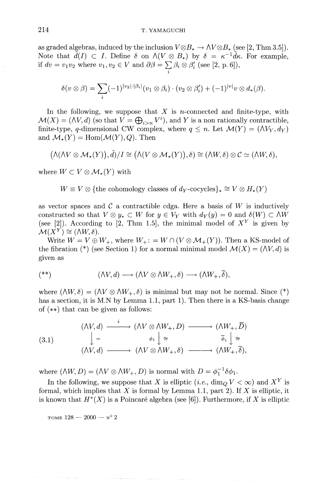as graded algebras, induced by the inclusion  $V\otimes B_* \to \Lambda V\otimes B_*$  (see [2, Thm 3.5]). Note that  $\tilde{d}(I) \subset I$ . Define  $\delta$  on  $\Lambda(V \otimes B_*)$  by  $\delta = \kappa^{-1} \tilde{d} \kappa$ . For example, if  $dv = v_1v_2$  where  $v_1, v_2 \in V$  and  $\partial \beta = \sum_i \beta_i \otimes \beta'_i$  (see [2, p. 6]),

$$
\delta(v \otimes \beta) = \sum_i (-1)^{|v_2| \cdot |\beta_i|} (v_1 \otimes \beta_i) \cdot (v_2 \otimes \beta'_i) + (-1)^{|v|} v \otimes d_*(\beta).
$$

In the following, we suppose that *X* is n-connected and finite-type, with  $M(X) = (NV, d)$  (so that  $V = \bigoplus_{i>n} V^i$ ), and Y is a non rationally contractible finite-type, *q*-dimensional CW complex, where  $q \leq n$ . Let  $\mathcal{M}(Y) = (\Lambda V_Y, d_Y)$ and  $\mathcal{M}_*(Y) = \text{Hom}(\mathcal{M}(Y),Q)$ . Then

$$
(\Lambda(\Lambda V\otimes \mathcal{M}_*(Y)),\tilde{d})/I\cong (\Lambda(V\otimes \mathcal{M}_*(Y)),\delta)\cong (\Lambda W,\delta)\otimes \mathcal{C}\simeq (\Lambda W,\delta),
$$

where  $W \subset V \otimes M_*(Y)$  with

 $W \equiv V \otimes \{\text{the cohomology classes of } d_Y\text{-cocycles}\}\n\cong V \otimes H_*(Y)$ 

as vector spaces and  $\mathcal C$  a contractible cdga. Here a basis of  $W$  is inductively constructed so that  $V \otimes y_* \subset W$  for  $y \in V_Y$  with  $d_Y(y) = 0$  and  $\delta(W) \subset \Lambda W$ (see [2]). According to [2, Thm 1.5], the minimal model of  $X<sup>Y</sup>$  is given by  $\mathcal{M}(X^Y) \cong (\Lambda W, \delta).$ 

Write  $W = V \oplus W_+$ , where  $W_+$ : =  $W \cap (V \otimes M_+(Y))$ . Then a KS-model of the fibration  $(*)$  (see Section 1) for a normal minimal model  $\mathcal{M}(X) = (\Lambda V, d)$  is given as

$$
(**)\qquad \qquad (\wedge V, d)\longrightarrow (\wedge V\otimes \wedge W_+, \delta)\longrightarrow (\wedge W_+, \overline{\delta}),
$$

where  $(\Lambda W, \delta) = (\Lambda V \otimes \Lambda W_+, \delta)$  is minimal but may not be normal. Since (\*) has a section, it is M.N by Lemma 1.1, part 1). Then there is a KS-basis change of (\*\*) that can be given as follows:

$$
(3.1) \qquad \begin{array}{ccc}\n(\land V, d) & \xrightarrow{i} & (\land V \otimes \land W_+, D) \longrightarrow (\land W_+, \overline{D}) \\
\downarrow = & \phi_1 \downarrow \cong & \overline{\phi}_1 \downarrow \cong \\
(\land V, d) & \xrightarrow{\quad} (\land V \otimes \land W_+, \delta) \longrightarrow (\land W_+, \overline{\delta}),\n\end{array}
$$

where  $(\land W, D) = (\land V \otimes \land W_+, D)$  is normal with  $D = \phi_1^{-1}\delta\phi_1$ .

In the following, we suppose that *X* is elliptic (*i.e.*, dim<sub>*Q*</sub>  $V < \infty$ ) and  $X<sup>Y</sup>$  is formal, which implies that  $X$  is formal by Lemma 1.1, part 2). If  $X$  is elliptic, it is known that  $H^*(X)$  is a Poincaré algebra (see [6]). Furthermore, if X is elliptic

TOME  $128 - 2000 - N^{\circ} 2$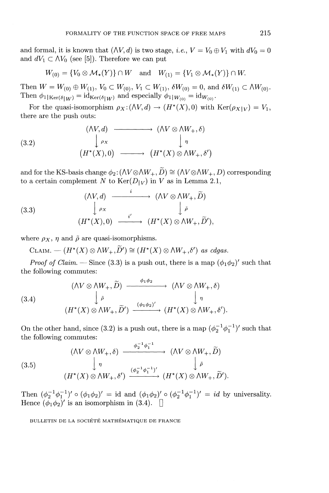and formal, it is known that  $(\Delta V, d)$  is two stage, *i.e.*,  $V = V_0 \oplus V_1$  with  $dV_0 = 0$ and  $dV_1 \subset \Lambda V_0$  (see [5]). Therefore we can put

$$
W_{(0)} = \{V_0 \otimes \mathcal{M}_*(Y)\} \cap W \quad \text{and} \quad W_{(1)} = \{V_1 \otimes \mathcal{M}_*(Y)\} \cap W.
$$

Then  $W = W_{(0)} \oplus W_{(1)}$ ,  $V_0 \subset W_{(0)}$ ,  $V_1 \subset W_{(1)}$ ,  $\delta W_{(0)} = 0$ , and  $\delta W_{(1)} \subset \Lambda W_{(0)}$ . Then  $\phi_{1|\text{Ker}(\delta|W)} = id_{\text{Ker}(\delta|W)}$  and especially  $\phi_{1|W_{(0)}} = id_{W_{(0)}}$ .

For the quasi-isomorphism  $\rho_X: (\wedge V, d) \to (H^*(X),0)$  with  $\text{Ker}(\rho_{X|V}) = V_1$ , there are the push outs:

(3.2)  
\n
$$
\downarrow \rho_X
$$
\n
$$
(H^*(X),0) \longrightarrow (H^*(X) \otimes \Lambda W_+,\delta)
$$
\n
$$
(H^*(X),0) \longrightarrow (H^*(X) \otimes \Lambda W_+,\delta')
$$

and for the KS-basis change  $\phi_2$ :  $(\Lambda V \otimes \Lambda W_+, \widetilde{D}) \cong (\Lambda V \otimes \Lambda W_+, D)$  corresponding to a certain complement N to  $Ker(D_{|V})$  in V as in Lemma 2.1,

(3.3)  
\n
$$
\begin{array}{ccc}\n & (\wedge V, d) & \xrightarrow{i} & (\wedge V \otimes \wedge W_+, \widetilde{D}) \\
\downarrow \rho_X & & \downarrow \bar{\rho} \\
(H^*(X), 0) & \xrightarrow{i'} & (H^*(X) \otimes \wedge W_+, \widetilde{D}'),\n\end{array}
$$

where  $\rho_X$ ,  $\eta$  and  $\tilde{\rho}$  are quasi-isomorphisms.

 $CLAM. - (H^*(X) \otimes \Lambda W_+, \widetilde{D}') \cong (H^*(X) \otimes \Lambda W_+, \delta')$  as cdgas.

*Proof of Claim.* — Since (3.3) is a push out, there is a map  $(\phi_1 \phi_2)'$  such that the following commutes:

(3.4)  
\n
$$
(N V \otimes \Lambda W_+, \widetilde{D}) \xrightarrow{\phi_1 \phi_2} (\Lambda V \otimes \Lambda W_+, \delta)
$$
\n
$$
\downarrow \widetilde{\rho} \qquad \qquad \downarrow \eta
$$
\n
$$
(H^*(X) \otimes \Lambda W_+, \widetilde{D}') \xrightarrow{(\phi_1 \phi_2)'} (H^*(X) \otimes \Lambda W_+, \delta').
$$

On the other hand, since (3.2) is a push out, there is a map  $(\phi_0^{-1}\phi_0^{-1})'$  such that the following commutes:  $\mathcal{L}$  $-1$ <sub>x</sub>-

(3.5)  
\n
$$
(AV \otimes \wedge W_+, \delta) \xrightarrow{\phi_2^{-1} \phi_1^{-1}} (\wedge V \otimes \wedge W_+, \widetilde{D})
$$
\n
$$
\downarrow \eta \qquad \qquad \downarrow \delta
$$
\n
$$
(H^*(X) \otimes \wedge W_+, \delta') \xrightarrow{(\phi_2^{-1} \phi_1^{-1})'} (H^*(X) \otimes \wedge W_+, \widetilde{D}').
$$

Then  $(\phi_2^{-1}\phi_1^{-1})' \circ (\phi_1\phi_2)' = \text{id}$  and  $(\phi_1\phi_2)' \circ (\phi_2^{-1}\phi_1^{-1})' = id$  by universality Hence  $(\phi_1 \phi_2)'$  is an isomorphism in (3.4).  $\Box$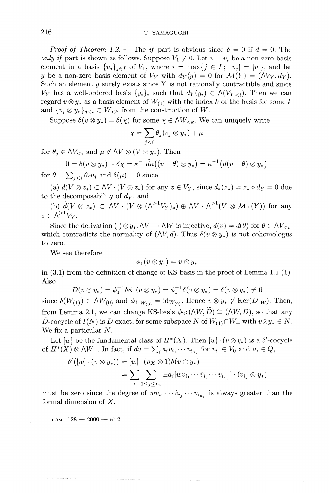#### 216 T. YAMAGUCHI

*Proof of Theorem 1.2.* — The *if* part is obvious since  $\delta = 0$  if  $d = 0$ . The *only if* part is shown as follows. Suppose  $V_1 \neq 0$ . Let  $v = v_i$  be a non-zero basis element in a basis  $\{v_i\}_{i \in I}$  of  $V_1$ , where  $i = \max\{j \in I; |v_i| = |v|\}$ , and let y be a non-zero basis element of  $V_Y$  with  $d_Y(y) = 0$  for  $\mathcal{M}(Y) = (\Lambda V_Y, d_Y)$ . Such an element *y* surely exists since *Y* is not rationally contractible and since  $V_Y$  has a well-ordered basis  $\{y_i\}_i$  such that  $d_Y(y_i) \in \Lambda(V_{Y\leq i})$ . Then we can regard  $v \otimes y_*$  as a basis element of  $W_{(1)}$  with the index k of the basis for some k and  $\{v_i \otimes y_*\}_{i \leq i} \subset W_{\leq k}$  from the construction of W.

Suppose  $\delta(v \otimes y_*) = \delta(\chi)$  for some  $\chi \in \Lambda W_{\leq k}$ . We can uniquely write

$$
\chi = \sum_{j
$$

for  $\theta_j \in \Lambda V_{\leq i}$  and  $\mu \notin \Lambda V \otimes (V \otimes y_*)$ . Then

$$
0 = \delta(v \otimes y_*) - \delta \chi = \kappa^{-1} \tilde{d} \kappa((v - \theta) \otimes y_*) = \kappa^{-1} (d(v - \theta) \otimes y_*)
$$

for  $\theta = \sum_{i < i} \theta_i v_j$  and  $\delta(\mu) = 0$  since

(a)  $\tilde{d}(V \otimes z_*) \subset \Lambda V \cdot (V \otimes z_*)$  for any  $z \in V_Y$ , since  $d_*(z_*) = z_* \circ d_Y = 0$  due to the decomposability of  $d<sub>Y</sub>$ , and

(b)  $\tilde{d}(V \otimes z_*) \subset \Lambda V \cdot (V \otimes (\Lambda^{>1}V_Y)_*) \oplus \Lambda V \cdot \Lambda^{>1}(V \otimes M_+(Y))$  for any  $z \in \Lambda^{>1}V_v$ .

Since the derivation ( $\partial_y u_k : \Delta V \to \Delta W$  is injective,  $d(v) = d(\theta)$  for  $\theta \in \Delta V_{\leq i}$ , which contradicts the normality of  $(\Lambda V, d)$ . Thus  $\delta(v \otimes y_*)$  is not cohomologus to zero.

We see therefore

$$
\phi_1(v\otimes y_*)=v\otimes y_*
$$

in (3.1) from the definition of change of KS-basis in the proof of Lemma 1.1 (1). Also

$$
D(v\otimes y_*)=\phi_1^{-1}\delta\phi_1(v\otimes y_*)=\phi_1^{-1}\delta(v\otimes y_*)=\delta(v\otimes y_*)\neq 0
$$

since  $\delta(W_{(1)}) \subset \Lambda W_{(0)}$  and  $\phi_{1|W_{(0)}} = \mathrm{id}_{W_{(0)}}$ . Hence  $v \otimes y_* \notin \mathrm{Ker}(D_{|W})$ . Then, from Lemma 2.1, we can change KS-basis  $\phi_2: (\wedge W, \widetilde{D}) \cong (\wedge W, D)$ , so that any  $\widetilde{D}$ -cocycle of  $I(N)$  is  $\widetilde{D}$ -exact, for some subspace N of  $W_{(1)} \cap W_+$  with  $v \otimes y_* \in N$ . We fix a particular *N.*

Let  $[w]$  be the fundamental class of  $H^*(X)$ . Then  $[w] \cdot (v \otimes y_*)$  is a  $\delta'$ -cocycle of  $H^*(X) \otimes \Lambda W_+$ . In fact, if  $dv = \sum_i a_i v_{i_1} \cdots v_{i_{n_i}}$  for  $v_i \in V_0$  and  $a_i \in Q$ ,

$$
\delta'([w] \cdot (v \otimes y_*) ) = [w] \cdot (\rho_X \otimes 1) \delta(v \otimes y_*)
$$
  
= 
$$
\sum_{i} \sum_{1 \leq j \leq n_i} \pm a_i [w v_{i_1} \cdots \hat{v}_{i_j} \cdots v_{i_{n_i}}] \cdot (v_{i_j} \otimes y_*)
$$

must be zero since the degree of  $wv_{i_1}\cdots v_{i_j}\cdots v_{i_n}$  is always greater than the formal dimension of *X.*

TOME  $128 - 2000 - y^{\circ}2$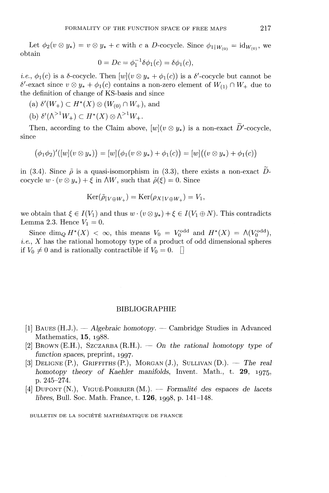Let  $\phi_2 (v \otimes y_*) = v \otimes y_* + c$  with *c* a D-cocycle. Since  $\phi_{1|W_{(0)}} = id_{W_{(0)}},$  we obtain

$$
0 = Dc = \phi_1^{-1} \delta \phi_1(c) = \delta \phi_1(c),
$$

*i.e.*,  $\phi_1(c)$  is a  $\delta$ -cocycle. Then  $[w](v \otimes y_* + \phi_1(c))$  is a  $\delta'$ -cocycle but cannot be  $\delta'$ -exact since  $v \otimes y_* + \phi_1(c)$  contains a non-zero element of  $W_{(1)} \cap W_+$  due to the definition of change of KS-basis and since

(a)  $\delta'(W_+) \subset H^*(X) \otimes (W_{(0)} \cap W_+),$  and

(b)  $\delta'(\Lambda^{>1}W_+) \subset H^*(X) \otimes \Lambda^{>1}W_+.$ 

Then, according to the Claim above,  $[w](v \otimes y_*)$  is a non-exact  $\widetilde{D}'$ -cocycle, since

$$
(\phi_1 \phi_2)'([w](v \otimes y_*) = [w](\phi_1(v \otimes y_*) + \phi_1(c)) = [w]((v \otimes y_*) + \phi_1(c))
$$

in (3.4). Since  $\tilde{\rho}$  is a quasi-isomorphism in (3.3), there exists a non-exact Dcocycle  $w \cdot (v \otimes y_*) + \xi$  in  $\Delta W$ , such that  $\tilde{\rho}(\xi) = 0$ . Since

$$
Ker(\tilde{\rho}_{|V\oplus W_{+}})=Ker(\rho_{X|V\oplus W_{+}})=V_{1},
$$

we obtain that  $\xi \in I(V_1)$  and thus  $w \cdot (v \otimes y_*) + \xi \in I(V_1 \oplus N)$ . This contradicts Lemma 2.3. Hence  $V_1 = 0$ .

Since dim<sub>Q</sub>  $H^*(X) < \infty$ , this means  $V_0 = V^{\text{odd}}_0$  and  $H^*(X) = \Lambda(V^{\text{odd}}_0)$ , *i.e., X* has the rational homotopy type of a product of odd dimensional spheres if  $V_0 \neq 0$  and is rationally contractible if  $V_0 = 0$ .

#### BIBLIOGRAPHIE

- [1] BAUES (H.J.). — *Algebraic homotopy. —* Cambridge Studies in Advanced Mathematics, **15,** 1988.
- [2] BROWN (E.H.), SZCZARBA (R.H.). — *On the rational homotopy type of function spaces,* preprint, 1997.
- [3] DELIGNE(R), GRIFFITHS (P.), MORGAN (J.), SULLIVAN (D.). — *The real homotopy theory of Kaehler manifolds,* Invent. Math., t. **29,** 1975, p. 245-274.
- [4] DUPONT(N.), VIGUE-POIRRIER (M.). — *Formalite des espaces de lacets libres,* Bull. Soc. Math. France, t. **126,** 1998, p. 141-148.